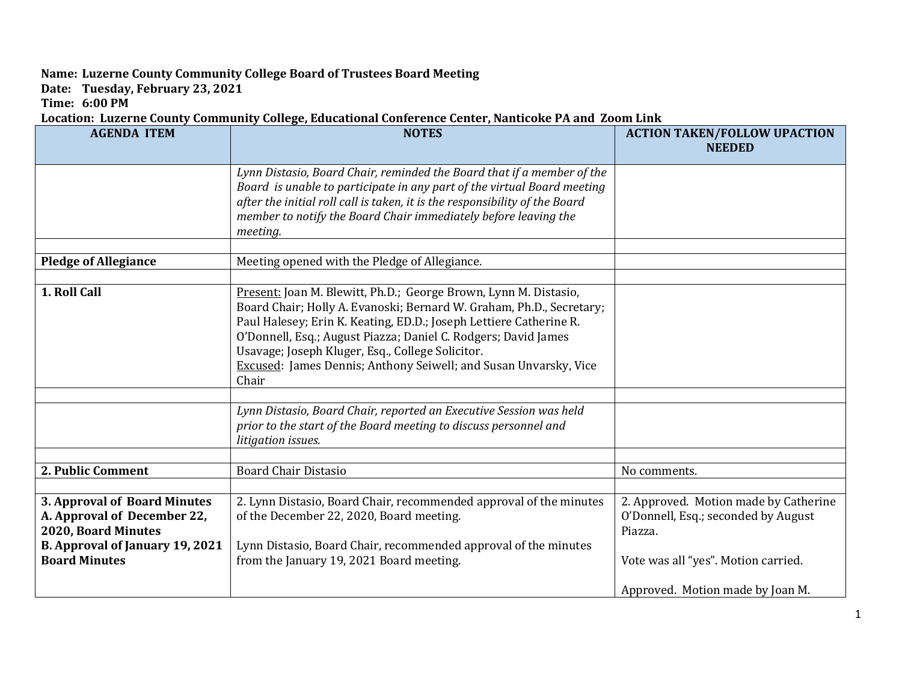## **Name: Luzerne County Community College Board of Trustees Board Meeting**

**Date: Tuesday, February 23, 2021**

**Time: 6:00 PM**

## **Location: Luzerne County Community College, Educational Conference Center, Nanticoke PA and Zoom Link**

| <b>AGENDA ITEM</b>                                      | <b>NOTES</b>                                                                                                                                           | <b>ACTION TAKEN/FOLLOW UPACTION</b><br><b>NEEDED</b> |
|---------------------------------------------------------|--------------------------------------------------------------------------------------------------------------------------------------------------------|------------------------------------------------------|
|                                                         |                                                                                                                                                        |                                                      |
|                                                         | Lynn Distasio, Board Chair, reminded the Board that if a member of the                                                                                 |                                                      |
|                                                         | Board is unable to participate in any part of the virtual Board meeting<br>after the initial roll call is taken, it is the responsibility of the Board |                                                      |
|                                                         | member to notify the Board Chair immediately before leaving the                                                                                        |                                                      |
|                                                         | meeting.                                                                                                                                               |                                                      |
|                                                         |                                                                                                                                                        |                                                      |
| <b>Pledge of Allegiance</b>                             | Meeting opened with the Pledge of Allegiance.                                                                                                          |                                                      |
|                                                         |                                                                                                                                                        |                                                      |
| 1. Roll Call                                            | Present: Joan M. Blewitt, Ph.D.; George Brown, Lynn M. Distasio,                                                                                       |                                                      |
|                                                         | Board Chair; Holly A. Evanoski; Bernard W. Graham, Ph.D., Secretary;<br>Paul Halesey; Erin K. Keating, ED.D.; Joseph Lettiere Catherine R.             |                                                      |
|                                                         | O'Donnell, Esq.; August Piazza; Daniel C. Rodgers; David James                                                                                         |                                                      |
|                                                         | Usavage; Joseph Kluger, Esq., College Solicitor.                                                                                                       |                                                      |
|                                                         | Excused: James Dennis; Anthony Seiwell; and Susan Unvarsky, Vice                                                                                       |                                                      |
|                                                         | Chair                                                                                                                                                  |                                                      |
|                                                         |                                                                                                                                                        |                                                      |
|                                                         | Lynn Distasio, Board Chair, reported an Executive Session was held                                                                                     |                                                      |
|                                                         | prior to the start of the Board meeting to discuss personnel and                                                                                       |                                                      |
|                                                         | litigation issues.                                                                                                                                     |                                                      |
| 2. Public Comment                                       | <b>Board Chair Distasio</b>                                                                                                                            | No comments.                                         |
|                                                         |                                                                                                                                                        |                                                      |
| 3. Approval of Board Minutes                            | 2. Lynn Distasio, Board Chair, recommended approval of the minutes                                                                                     | 2. Approved. Motion made by Catherine                |
| A. Approval of December 22,                             | of the December 22, 2020, Board meeting.                                                                                                               | O'Donnell, Esq.; seconded by August                  |
| 2020, Board Minutes                                     |                                                                                                                                                        | Piazza.                                              |
| B. Approval of January 19, 2021<br><b>Board Minutes</b> | Lynn Distasio, Board Chair, recommended approval of the minutes<br>from the January 19, 2021 Board meeting.                                            |                                                      |
|                                                         |                                                                                                                                                        | Vote was all "yes". Motion carried.                  |
|                                                         |                                                                                                                                                        | Approved. Motion made by Joan M.                     |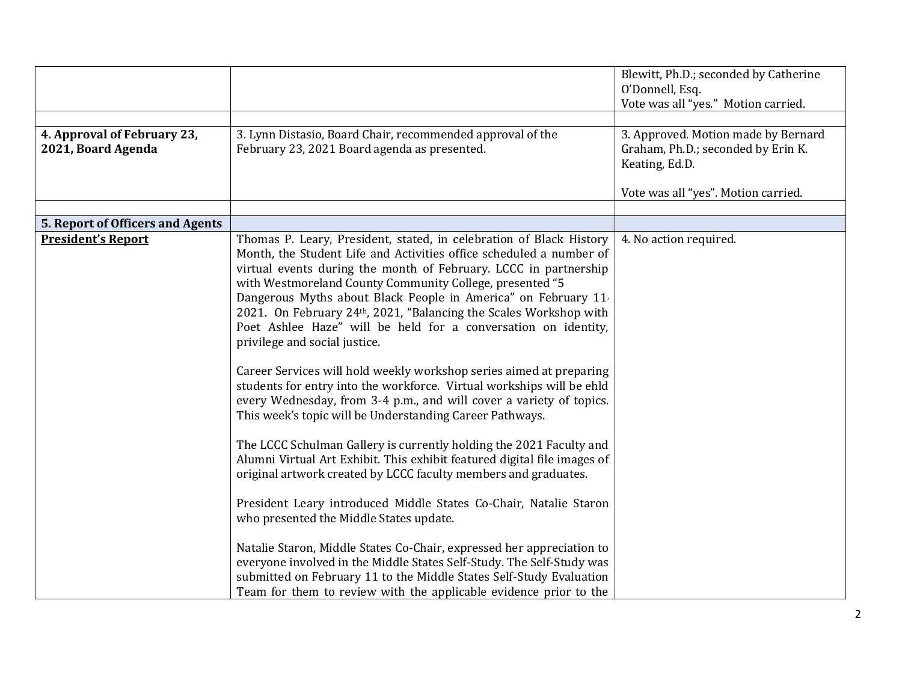|                                                   |                                                                                                                                                                                                                                                                                                                                                                                                                                                                                                                                                                                                                                                                                                                                                                                                                                                                                                                                                                                                                                                                                                                                                                                                                                                                                                                                                                                                                                            | Blewitt, Ph.D.; seconded by Catherine<br>O'Donnell, Esq.<br>Vote was all "yes." Motion carried. |
|---------------------------------------------------|--------------------------------------------------------------------------------------------------------------------------------------------------------------------------------------------------------------------------------------------------------------------------------------------------------------------------------------------------------------------------------------------------------------------------------------------------------------------------------------------------------------------------------------------------------------------------------------------------------------------------------------------------------------------------------------------------------------------------------------------------------------------------------------------------------------------------------------------------------------------------------------------------------------------------------------------------------------------------------------------------------------------------------------------------------------------------------------------------------------------------------------------------------------------------------------------------------------------------------------------------------------------------------------------------------------------------------------------------------------------------------------------------------------------------------------------|-------------------------------------------------------------------------------------------------|
| 4. Approval of February 23,<br>2021, Board Agenda | 3. Lynn Distasio, Board Chair, recommended approval of the<br>February 23, 2021 Board agenda as presented.                                                                                                                                                                                                                                                                                                                                                                                                                                                                                                                                                                                                                                                                                                                                                                                                                                                                                                                                                                                                                                                                                                                                                                                                                                                                                                                                 | 3. Approved. Motion made by Bernard<br>Graham, Ph.D.; seconded by Erin K.<br>Keating, Ed.D.     |
|                                                   |                                                                                                                                                                                                                                                                                                                                                                                                                                                                                                                                                                                                                                                                                                                                                                                                                                                                                                                                                                                                                                                                                                                                                                                                                                                                                                                                                                                                                                            | Vote was all "yes". Motion carried.                                                             |
|                                                   |                                                                                                                                                                                                                                                                                                                                                                                                                                                                                                                                                                                                                                                                                                                                                                                                                                                                                                                                                                                                                                                                                                                                                                                                                                                                                                                                                                                                                                            |                                                                                                 |
| 5. Report of Officers and Agents                  |                                                                                                                                                                                                                                                                                                                                                                                                                                                                                                                                                                                                                                                                                                                                                                                                                                                                                                                                                                                                                                                                                                                                                                                                                                                                                                                                                                                                                                            |                                                                                                 |
| <b>President's Report</b>                         | Thomas P. Leary, President, stated, in celebration of Black History<br>Month, the Student Life and Activities office scheduled a number of<br>virtual events during the month of February. LCCC in partnership<br>with Westmoreland County Community College, presented "5<br>Dangerous Myths about Black People in America" on February 11<br>2021. On February 24th, 2021, "Balancing the Scales Workshop with<br>Poet Ashlee Haze" will be held for a conversation on identity,<br>privilege and social justice.<br>Career Services will hold weekly workshop series aimed at preparing<br>students for entry into the workforce. Virtual workships will be ehld<br>every Wednesday, from 3-4 p.m., and will cover a variety of topics.<br>This week's topic will be Understanding Career Pathways.<br>The LCCC Schulman Gallery is currently holding the 2021 Faculty and<br>Alumni Virtual Art Exhibit. This exhibit featured digital file images of<br>original artwork created by LCCC faculty members and graduates.<br>President Leary introduced Middle States Co-Chair, Natalie Staron<br>who presented the Middle States update.<br>Natalie Staron, Middle States Co-Chair, expressed her appreciation to<br>everyone involved in the Middle States Self-Study. The Self-Study was<br>submitted on February 11 to the Middle States Self-Study Evaluation<br>Team for them to review with the applicable evidence prior to the | 4. No action required.                                                                          |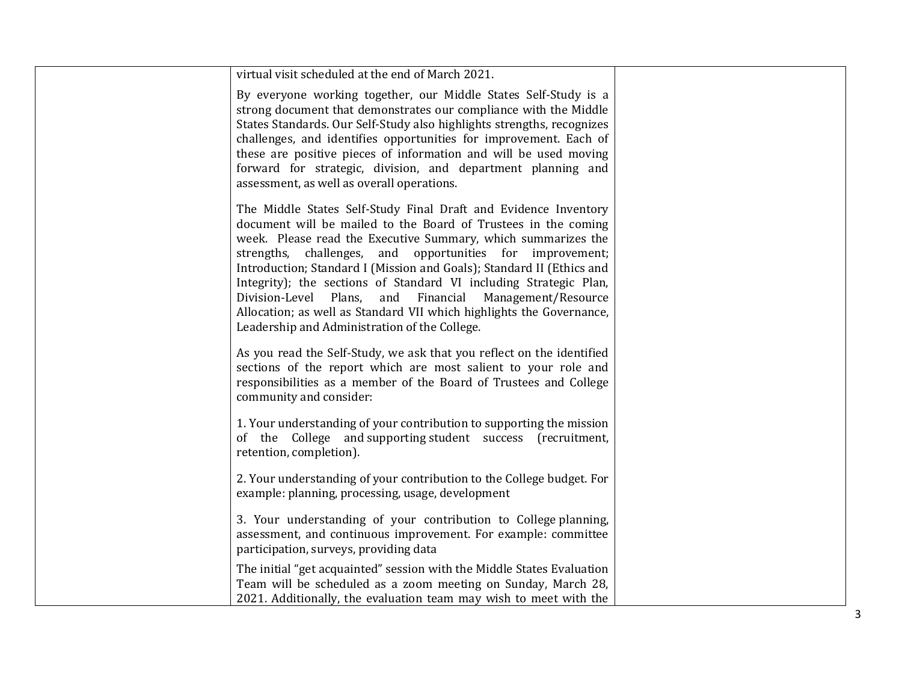| virtual visit scheduled at the end of March 2021.                                                                                                                                                                                                                                                                                                                                                                                                                                                                                                                                                 |  |
|---------------------------------------------------------------------------------------------------------------------------------------------------------------------------------------------------------------------------------------------------------------------------------------------------------------------------------------------------------------------------------------------------------------------------------------------------------------------------------------------------------------------------------------------------------------------------------------------------|--|
| By everyone working together, our Middle States Self-Study is a<br>strong document that demonstrates our compliance with the Middle<br>States Standards. Our Self-Study also highlights strengths, recognizes<br>challenges, and identifies opportunities for improvement. Each of<br>these are positive pieces of information and will be used moving<br>forward for strategic, division, and department planning and<br>assessment, as well as overall operations.                                                                                                                              |  |
| The Middle States Self-Study Final Draft and Evidence Inventory<br>document will be mailed to the Board of Trustees in the coming<br>week. Please read the Executive Summary, which summarizes the<br>strengths, challenges, and opportunities for improvement;<br>Introduction; Standard I (Mission and Goals); Standard II (Ethics and<br>Integrity); the sections of Standard VI including Strategic Plan,<br>Division-Level Plans, and Financial Management/Resource<br>Allocation; as well as Standard VII which highlights the Governance,<br>Leadership and Administration of the College. |  |
| As you read the Self-Study, we ask that you reflect on the identified<br>sections of the report which are most salient to your role and<br>responsibilities as a member of the Board of Trustees and College<br>community and consider:                                                                                                                                                                                                                                                                                                                                                           |  |
| 1. Your understanding of your contribution to supporting the mission<br>of the College and supporting student success (recruitment,<br>retention, completion).                                                                                                                                                                                                                                                                                                                                                                                                                                    |  |
| 2. Your understanding of your contribution to the College budget. For<br>example: planning, processing, usage, development                                                                                                                                                                                                                                                                                                                                                                                                                                                                        |  |
| 3. Your understanding of your contribution to College planning,<br>assessment, and continuous improvement. For example: committee<br>participation, surveys, providing data                                                                                                                                                                                                                                                                                                                                                                                                                       |  |
| The initial "get acquainted" session with the Middle States Evaluation<br>Team will be scheduled as a zoom meeting on Sunday, March 28,<br>2021. Additionally, the evaluation team may wish to meet with the                                                                                                                                                                                                                                                                                                                                                                                      |  |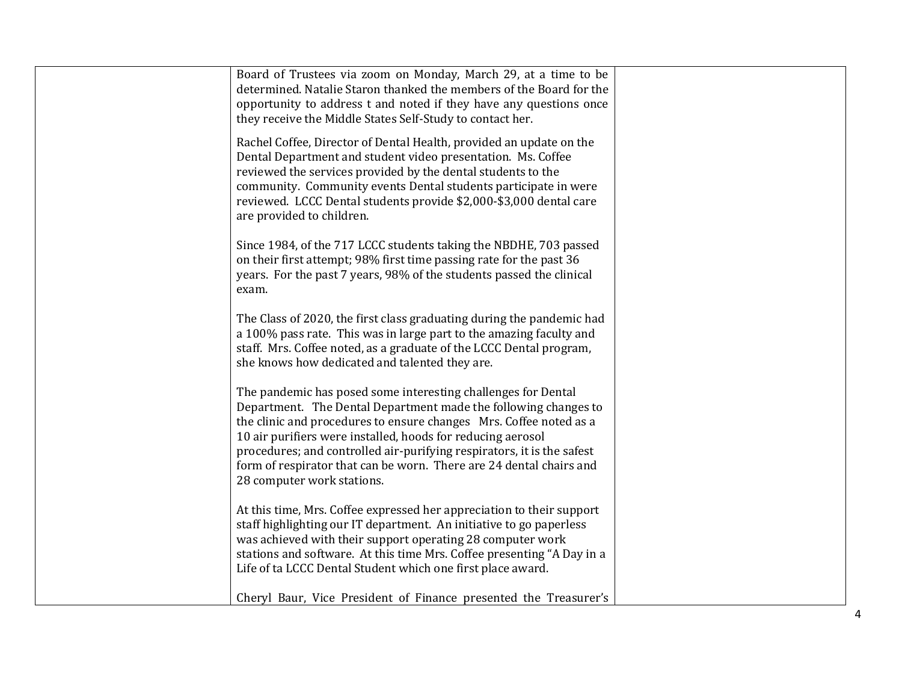| Board of Trustees via zoom on Monday, March 29, at a time to be<br>determined. Natalie Staron thanked the members of the Board for the<br>opportunity to address t and noted if they have any questions once<br>they receive the Middle States Self-Study to contact her.                                                                                                                                                                            |  |
|------------------------------------------------------------------------------------------------------------------------------------------------------------------------------------------------------------------------------------------------------------------------------------------------------------------------------------------------------------------------------------------------------------------------------------------------------|--|
| Rachel Coffee, Director of Dental Health, provided an update on the<br>Dental Department and student video presentation. Ms. Coffee<br>reviewed the services provided by the dental students to the<br>community. Community events Dental students participate in were<br>reviewed. LCCC Dental students provide \$2,000-\$3,000 dental care<br>are provided to children.                                                                            |  |
| Since 1984, of the 717 LCCC students taking the NBDHE, 703 passed<br>on their first attempt; 98% first time passing rate for the past 36<br>years. For the past 7 years, 98% of the students passed the clinical<br>exam.                                                                                                                                                                                                                            |  |
| The Class of 2020, the first class graduating during the pandemic had<br>a 100% pass rate. This was in large part to the amazing faculty and<br>staff. Mrs. Coffee noted, as a graduate of the LCCC Dental program,<br>she knows how dedicated and talented they are.                                                                                                                                                                                |  |
| The pandemic has posed some interesting challenges for Dental<br>Department. The Dental Department made the following changes to<br>the clinic and procedures to ensure changes Mrs. Coffee noted as a<br>10 air purifiers were installed, hoods for reducing aerosol<br>procedures; and controlled air-purifying respirators, it is the safest<br>form of respirator that can be worn. There are 24 dental chairs and<br>28 computer work stations. |  |
| At this time, Mrs. Coffee expressed her appreciation to their support<br>staff highlighting our IT department. An initiative to go paperless<br>was achieved with their support operating 28 computer work<br>stations and software. At this time Mrs. Coffee presenting "A Day in a<br>Life of ta LCCC Dental Student which one first place award.<br>Cheryl Baur, Vice President of Finance presented the Treasurer's                              |  |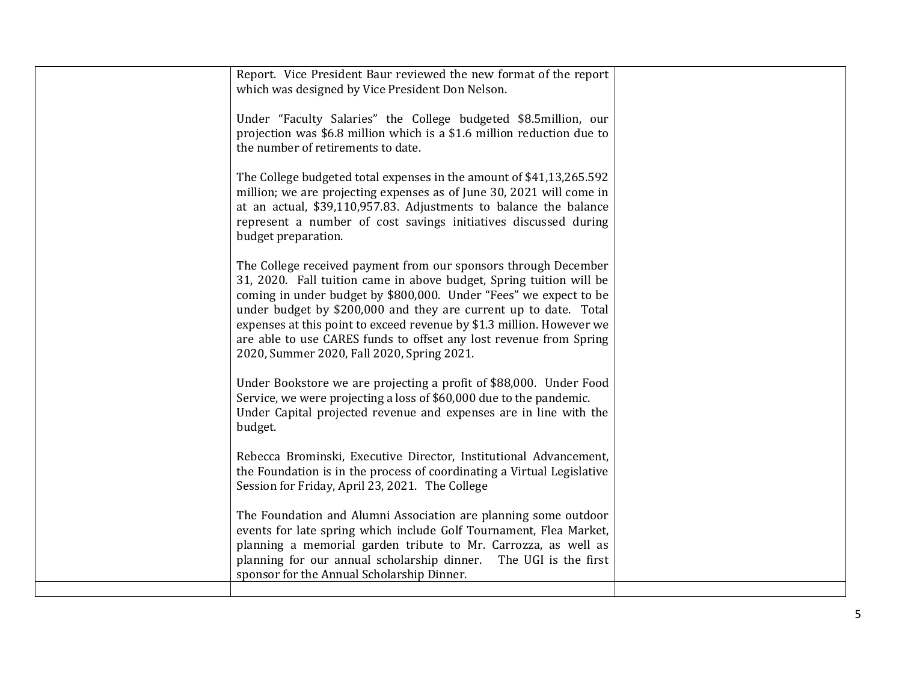| Report. Vice President Baur reviewed the new format of the report<br>which was designed by Vice President Don Nelson.                                                                                                                                                                                                                                                                                                                                                        |  |
|------------------------------------------------------------------------------------------------------------------------------------------------------------------------------------------------------------------------------------------------------------------------------------------------------------------------------------------------------------------------------------------------------------------------------------------------------------------------------|--|
| Under "Faculty Salaries" the College budgeted \$8.5million, our<br>projection was \$6.8 million which is a \$1.6 million reduction due to<br>the number of retirements to date.                                                                                                                                                                                                                                                                                              |  |
| The College budgeted total expenses in the amount of \$41,13,265.592<br>million; we are projecting expenses as of June 30, 2021 will come in<br>at an actual, \$39,110,957.83. Adjustments to balance the balance<br>represent a number of cost savings initiatives discussed during<br>budget preparation.                                                                                                                                                                  |  |
| The College received payment from our sponsors through December<br>31, 2020. Fall tuition came in above budget, Spring tuition will be<br>coming in under budget by \$800,000. Under "Fees" we expect to be<br>under budget by \$200,000 and they are current up to date. Total<br>expenses at this point to exceed revenue by \$1.3 million. However we<br>are able to use CARES funds to offset any lost revenue from Spring<br>2020, Summer 2020, Fall 2020, Spring 2021. |  |
| Under Bookstore we are projecting a profit of \$88,000. Under Food<br>Service, we were projecting a loss of \$60,000 due to the pandemic.<br>Under Capital projected revenue and expenses are in line with the<br>budget.                                                                                                                                                                                                                                                    |  |
| Rebecca Brominski, Executive Director, Institutional Advancement,<br>the Foundation is in the process of coordinating a Virtual Legislative<br>Session for Friday, April 23, 2021. The College                                                                                                                                                                                                                                                                               |  |
| The Foundation and Alumni Association are planning some outdoor<br>events for late spring which include Golf Tournament, Flea Market,<br>planning a memorial garden tribute to Mr. Carrozza, as well as<br>planning for our annual scholarship dinner. The UGI is the first<br>sponsor for the Annual Scholarship Dinner.                                                                                                                                                    |  |
|                                                                                                                                                                                                                                                                                                                                                                                                                                                                              |  |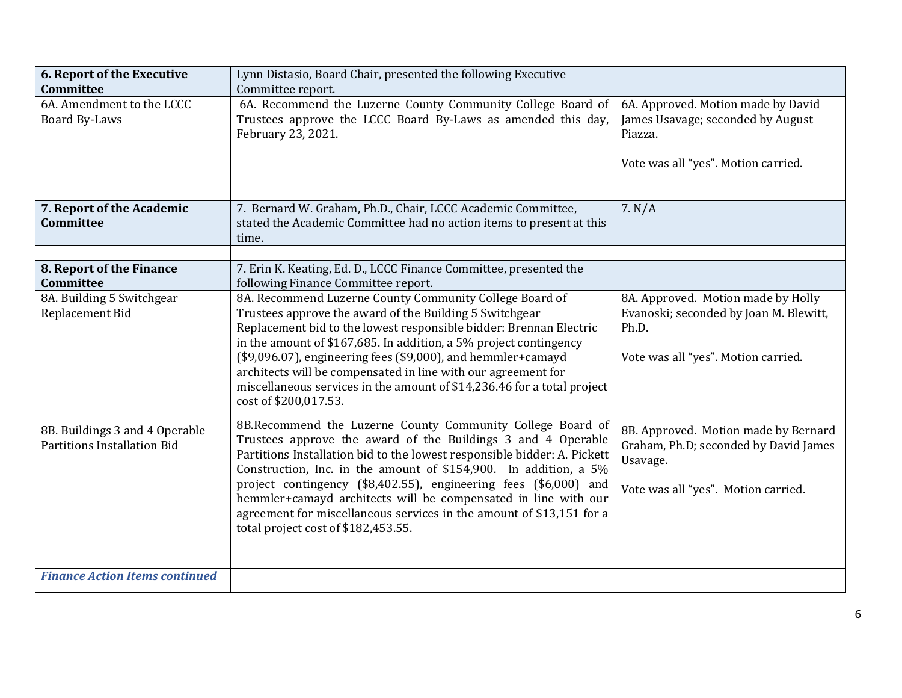| 6. Report of the Executive<br><b>Committee</b>                       | Lynn Distasio, Board Chair, presented the following Executive<br>Committee report.                                                                                                                                                                                                                                                                                                                                                                                                                                              |                                                                                                                                  |
|----------------------------------------------------------------------|---------------------------------------------------------------------------------------------------------------------------------------------------------------------------------------------------------------------------------------------------------------------------------------------------------------------------------------------------------------------------------------------------------------------------------------------------------------------------------------------------------------------------------|----------------------------------------------------------------------------------------------------------------------------------|
| 6A. Amendment to the LCCC<br>Board By-Laws                           | 6A. Recommend the Luzerne County Community College Board of<br>Trustees approve the LCCC Board By-Laws as amended this day,<br>February 23, 2021.                                                                                                                                                                                                                                                                                                                                                                               | 6A. Approved. Motion made by David<br>James Usavage; seconded by August<br>Piazza.<br>Vote was all "yes". Motion carried.        |
| 7. Report of the Academic<br>Committee                               | 7. Bernard W. Graham, Ph.D., Chair, LCCC Academic Committee,<br>stated the Academic Committee had no action items to present at this<br>time.                                                                                                                                                                                                                                                                                                                                                                                   | 7. N/A                                                                                                                           |
| 8. Report of the Finance<br>Committee                                | 7. Erin K. Keating, Ed. D., LCCC Finance Committee, presented the<br>following Finance Committee report.                                                                                                                                                                                                                                                                                                                                                                                                                        |                                                                                                                                  |
| 8A. Building 5 Switchgear<br>Replacement Bid                         | 8A. Recommend Luzerne County Community College Board of<br>Trustees approve the award of the Building 5 Switchgear<br>Replacement bid to the lowest responsible bidder: Brennan Electric<br>in the amount of \$167,685. In addition, a 5% project contingency<br>(\$9,096.07), engineering fees (\$9,000), and hemmler+camayd<br>architects will be compensated in line with our agreement for<br>miscellaneous services in the amount of \$14,236.46 for a total project<br>cost of \$200,017.53.                              | 8A. Approved. Motion made by Holly<br>Evanoski; seconded by Joan M. Blewitt,<br>Ph.D.<br>Vote was all "yes". Motion carried.     |
| 8B. Buildings 3 and 4 Operable<br><b>Partitions Installation Bid</b> | 8B.Recommend the Luzerne County Community College Board of<br>Trustees approve the award of the Buildings 3 and 4 Operable<br>Partitions Installation bid to the lowest responsible bidder: A. Pickett<br>Construction, Inc. in the amount of \$154,900. In addition, a 5%<br>project contingency (\$8,402.55), engineering fees (\$6,000) and<br>hemmler+camayd architects will be compensated in line with our<br>agreement for miscellaneous services in the amount of \$13,151 for a<br>total project cost of \$182,453.55. | 8B. Approved. Motion made by Bernard<br>Graham, Ph.D; seconded by David James<br>Usavage.<br>Vote was all "yes". Motion carried. |
| <b>Finance Action Items continued</b>                                |                                                                                                                                                                                                                                                                                                                                                                                                                                                                                                                                 |                                                                                                                                  |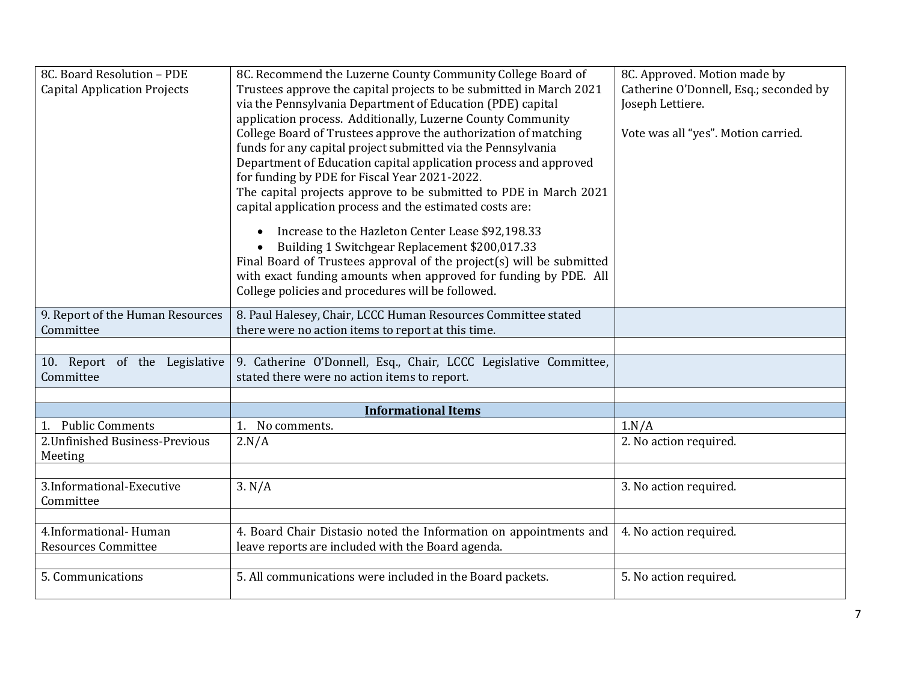| 8C. Board Resolution - PDE          | 8C. Recommend the Luzerne County Community College Board of          | 8C. Approved. Motion made by           |
|-------------------------------------|----------------------------------------------------------------------|----------------------------------------|
| <b>Capital Application Projects</b> | Trustees approve the capital projects to be submitted in March 2021  | Catherine O'Donnell, Esq.; seconded by |
|                                     | via the Pennsylvania Department of Education (PDE) capital           | Joseph Lettiere.                       |
|                                     | application process. Additionally, Luzerne County Community          |                                        |
|                                     | College Board of Trustees approve the authorization of matching      | Vote was all "yes". Motion carried.    |
|                                     | funds for any capital project submitted via the Pennsylvania         |                                        |
|                                     | Department of Education capital application process and approved     |                                        |
|                                     | for funding by PDE for Fiscal Year 2021-2022.                        |                                        |
|                                     | The capital projects approve to be submitted to PDE in March 2021    |                                        |
|                                     | capital application process and the estimated costs are:             |                                        |
|                                     | Increase to the Hazleton Center Lease \$92,198.33                    |                                        |
|                                     | Building 1 Switchgear Replacement \$200,017.33                       |                                        |
|                                     | Final Board of Trustees approval of the project(s) will be submitted |                                        |
|                                     | with exact funding amounts when approved for funding by PDE. All     |                                        |
|                                     | College policies and procedures will be followed.                    |                                        |
| 9. Report of the Human Resources    | 8. Paul Halesey, Chair, LCCC Human Resources Committee stated        |                                        |
| Committee                           | there were no action items to report at this time.                   |                                        |
|                                     |                                                                      |                                        |
| 10. Report of the Legislative       | 9. Catherine O'Donnell, Esq., Chair, LCCC Legislative Committee,     |                                        |
| Committee                           | stated there were no action items to report.                         |                                        |
|                                     |                                                                      |                                        |
|                                     | <b>Informational Items</b>                                           |                                        |
| 1. Public Comments                  | No comments.<br>1.                                                   | 1.N/A                                  |
| 2. Unfinished Business-Previous     | 2.N/A                                                                | 2. No action required.                 |
| Meeting                             |                                                                      |                                        |
| 3.Informational-Executive           |                                                                      |                                        |
|                                     | 3. N/A                                                               | 3. No action required.                 |
| Committee                           |                                                                      |                                        |
| 4.Informational-Human               | 4. Board Chair Distasio noted the Information on appointments and    | 4. No action required.                 |
| <b>Resources Committee</b>          | leave reports are included with the Board agenda.                    |                                        |
|                                     |                                                                      |                                        |
| 5. Communications                   | 5. All communications were included in the Board packets.            | 5. No action required.                 |
|                                     |                                                                      |                                        |